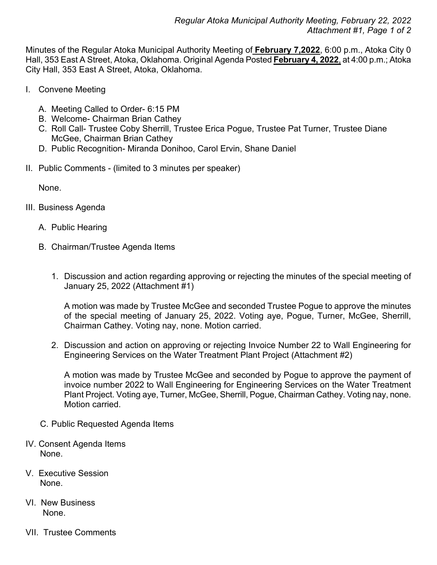Minutes of the Regular Atoka Municipal Authority Meeting of **February 7,2022**, 6:00 p.m., Atoka City 0 Hall, 353 East A Street, Atoka, Oklahoma. Original Agenda Posted **February 4, 2022**, at 4:00 p.m.; Atoka City Hall, 353 East A Street, Atoka, Oklahoma.

- I. Convene Meeting
	- A. Meeting Called to Order- 6:15 PM
	- B. Welcome- Chairman Brian Cathey
	- C. Roll Call- Trustee Coby Sherrill, Trustee Erica Pogue, Trustee Pat Turner, Trustee Diane McGee, Chairman Brian Cathey
	- D. Public Recognition- Miranda Donihoo, Carol Ervin, Shane Daniel
- II. Public Comments (limited to 3 minutes per speaker)

None.

- III. Business Agenda
	- A. Public Hearing
	- B. Chairman/Trustee Agenda Items
		- 1. Discussion and action regarding approving or rejecting the minutes of the special meeting of January 25, 2022 (Attachment #1)

A motion was made by Trustee McGee and seconded Trustee Pogue to approve the minutes of the special meeting of January 25, 2022. Voting aye, Pogue, Turner, McGee, Sherrill, Chairman Cathey. Voting nay, none. Motion carried.

2. Discussion and action on approving or rejecting Invoice Number 22 to Wall Engineering for Engineering Services on the Water Treatment Plant Project (Attachment #2)

A motion was made by Trustee McGee and seconded by Pogue to approve the payment of invoice number 2022 to Wall Engineering for Engineering Services on the Water Treatment Plant Project. Voting aye, Turner, McGee, Sherrill, Pogue, Chairman Cathey. Voting nay, none. Motion carried.

- C. Public Requested Agenda Items
- IV. Consent Agenda Items None.
- V. Executive Session None.
- VI. New Business None.
- VII. Trustee Comments